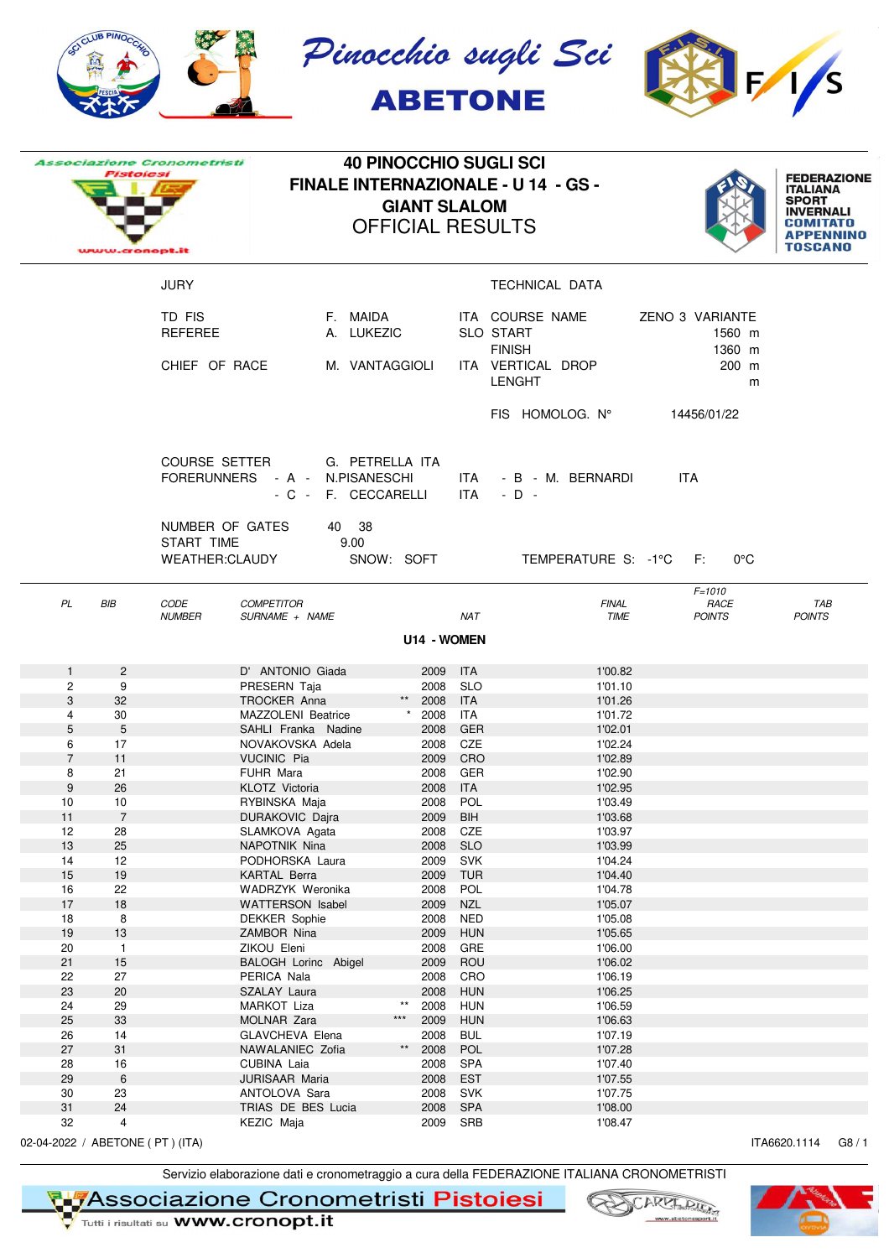

|                     | Pistolesi<br>www.cronopt.it | <b>Associazione Cronometristi</b>               |                                        | <b>40 PINOCCHIO SUGLI SCI</b><br><b>FINALE INTERNAZIONALE - U 14 - GS -</b><br><b>GIANT SLALOM</b><br><b>OFFICIAL RESULTS</b> |                         |                          |                                                      |                                     |                             |  |
|---------------------|-----------------------------|-------------------------------------------------|----------------------------------------|-------------------------------------------------------------------------------------------------------------------------------|-------------------------|--------------------------|------------------------------------------------------|-------------------------------------|-----------------------------|--|
|                     |                             | <b>JURY</b>                                     |                                        |                                                                                                                               |                         |                          | TECHNICAL DATA                                       |                                     |                             |  |
|                     |                             | TD FIS<br><b>REFEREE</b>                        |                                        | F. MAIDA<br>A. LUKEZIC                                                                                                        |                         |                          | ITA COURSE NAME<br><b>SLO START</b><br><b>FINISH</b> | ZENO 3 VARIANTE<br>1560 m<br>1360 m |                             |  |
|                     |                             | CHIEF OF RACE                                   |                                        | M. VANTAGGIOLI                                                                                                                |                         |                          | ITA VERTICAL DROP<br><b>LENGHT</b>                   | 200 m<br>m                          |                             |  |
|                     |                             |                                                 |                                        |                                                                                                                               |                         |                          | FIS HOMOLOG. N°                                      | 14456/01/22                         |                             |  |
|                     |                             | COURSE SETTER<br>FORERUNNERS - A - N.PISANESCHI | - C - F. CECCARELLI                    | G. PETRELLA ITA                                                                                                               |                         |                          | ITA - B - M. BERNARDI<br>$ITA - D -$                 | ITA.                                |                             |  |
|                     |                             | NUMBER OF GATES<br>START TIME<br>WEATHER:CLAUDY | 40 38                                  | 9.00<br>SNOW: SOFT                                                                                                            |                         |                          | TEMPERATURE S: -1°C F:                               | $0^{\circ}$ C                       |                             |  |
| PL                  | BIB                         | CODE<br><b>NUMBER</b>                           | <b>COMPETITOR</b><br>SURNAME + NAME    |                                                                                                                               | U14 - WOMEN             | <b>NAT</b>               | <b>FINAL</b><br>TIME                                 | $F = 1010$<br>RACE<br><b>POINTS</b> | <b>TAB</b><br><b>POINTS</b> |  |
| $\mathbf{1}$        | $\overline{2}$              |                                                 | D' ANTONIO Giada                       |                                                                                                                               | 2009 ITA                |                          | 1'00.82                                              |                                     |                             |  |
| $\overline{2}$      | 9                           |                                                 | PRESERN Taja                           |                                                                                                                               | 2008 SLO                |                          | 1'01.10                                              |                                     |                             |  |
| 3                   | 32                          |                                                 | TROCKER Anna                           |                                                                                                                               | $***$<br>2008 ITA       |                          | 1'01.26                                              |                                     |                             |  |
| 4                   | 30                          |                                                 | MAZZOLENI Beatrice                     |                                                                                                                               | 2008                    | ITA                      | 1'01.72                                              |                                     |                             |  |
| 5                   | 5                           |                                                 | SAHLI Franka Nadine                    |                                                                                                                               | 2008                    | <b>GER</b>               | 1'02.01                                              |                                     |                             |  |
| 6<br>$\overline{7}$ | 17<br>11                    |                                                 | NOVAKOVSKA Adela<br><b>VUCINIC Pia</b> |                                                                                                                               | 2008 CZE<br>2009 CRO    |                          | 1'02.24<br>1'02.89                                   |                                     |                             |  |
| 8                   | 21                          |                                                 | FUHR Mara                              |                                                                                                                               | 2008 GER                |                          | 1'02.90                                              |                                     |                             |  |
| 9                   | 26                          |                                                 | <b>KLOTZ Victoria</b>                  |                                                                                                                               | 2008                    | <b>ITA</b>               | 1'02.95                                              |                                     |                             |  |
| 10                  | 10                          |                                                 | RYBINSKA Maja                          |                                                                                                                               | 2008 POL                |                          | 1'03.49                                              |                                     |                             |  |
| 11                  | $\overline{7}$              |                                                 | DURAKOVIC Dajra                        |                                                                                                                               | 2009                    | <b>BIH</b>               | 1'03.68                                              |                                     |                             |  |
| 12                  | 28                          |                                                 | SLAMKOVA Agata                         |                                                                                                                               | 2008                    | CZE                      | 1'03.97                                              |                                     |                             |  |
| 13<br>14            | 25<br>12                    |                                                 | NAPOTNIK Nina<br>PODHORSKA Laura       |                                                                                                                               | 2008<br>2009            | <b>SLO</b><br><b>SVK</b> | 1'03.99<br>1'04.24                                   |                                     |                             |  |
| 15                  | $19$                        |                                                 | <b>KARTAL Berra</b>                    |                                                                                                                               | 2009 TUR                |                          | 1'04.40                                              |                                     |                             |  |
| 16                  | 22                          |                                                 | WADRZYK Weronika                       |                                                                                                                               | 2008                    | POL                      | 1'04.78                                              |                                     |                             |  |
| 17                  | 18                          |                                                 | WATTERSON Isabel                       |                                                                                                                               | 2009                    | <b>NZL</b>               | 1'05.07                                              |                                     |                             |  |
| 18                  | 8                           |                                                 | <b>DEKKER Sophie</b>                   |                                                                                                                               | 2008                    | <b>NED</b>               | 1'05.08                                              |                                     |                             |  |
| 19<br>20            | $13$                        |                                                 | ZAMBOR Nina<br>ZIKOU Eleni             |                                                                                                                               | 2009<br>2008            | <b>HUN</b><br>GRE        | 1'05.65<br>1'06.00                                   |                                     |                             |  |
| 21                  | $\mathbf{1}$<br>15          |                                                 | BALOGH Lorinc Abigel                   |                                                                                                                               | 2009                    | ROU                      | 1'06.02                                              |                                     |                             |  |
| 22                  | 27                          |                                                 | PERICA Nala                            |                                                                                                                               | 2008                    | CRO                      | 1'06.19                                              |                                     |                             |  |
| 23                  | 20                          |                                                 | SZALAY Laura                           |                                                                                                                               | 2008                    | <b>HUN</b>               | 1'06.25                                              |                                     |                             |  |
| 24                  | 29                          |                                                 | MARKOT Liza                            |                                                                                                                               | $^{\star\star}$<br>2008 | <b>HUN</b>               | 1'06.59                                              |                                     |                             |  |
| 25                  | 33                          |                                                 | MOLNAR Zara                            | $\star\star\star$                                                                                                             | 2009                    | <b>HUN</b>               | 1'06.63                                              |                                     |                             |  |
| 26                  | $14$                        |                                                 | GLAVCHEVA Elena                        |                                                                                                                               | 2008<br>$^{\star\star}$ | <b>BUL</b>               | 1'07.19                                              |                                     |                             |  |
| 27<br>28            | 31<br>16                    |                                                 | NAWALANIEC Zofia<br>CUBINA Laia        |                                                                                                                               | 2008<br>2008            | POL<br>SPA               | 1'07.28<br>1'07.40                                   |                                     |                             |  |
| 29                  | $\,6\,$                     |                                                 | JURISAAR Maria                         |                                                                                                                               | 2008                    | <b>EST</b>               | 1'07.55                                              |                                     |                             |  |
| 30                  | 23                          |                                                 | ANTOLOVA Sara                          |                                                                                                                               | 2008                    | <b>SVK</b>               | 1'07.75                                              |                                     |                             |  |
| 31                  | $24\,$                      |                                                 | TRIAS DE BES Lucia                     |                                                                                                                               | 2008                    | SPA                      | 1'08.00                                              |                                     |                             |  |
| 32                  | $\overline{4}$              |                                                 | KEZIC Maja                             |                                                                                                                               | 2009                    | SRB                      | 1'08.47                                              |                                     |                             |  |

02-04-2022 / ABETONE ( PT ) (ITA) ITA6620.1114 G8 / 1

Servizio elaborazione dati e cronometraggio a cura della FEDERAZIONE ITALIANA CRONOMETRISTI

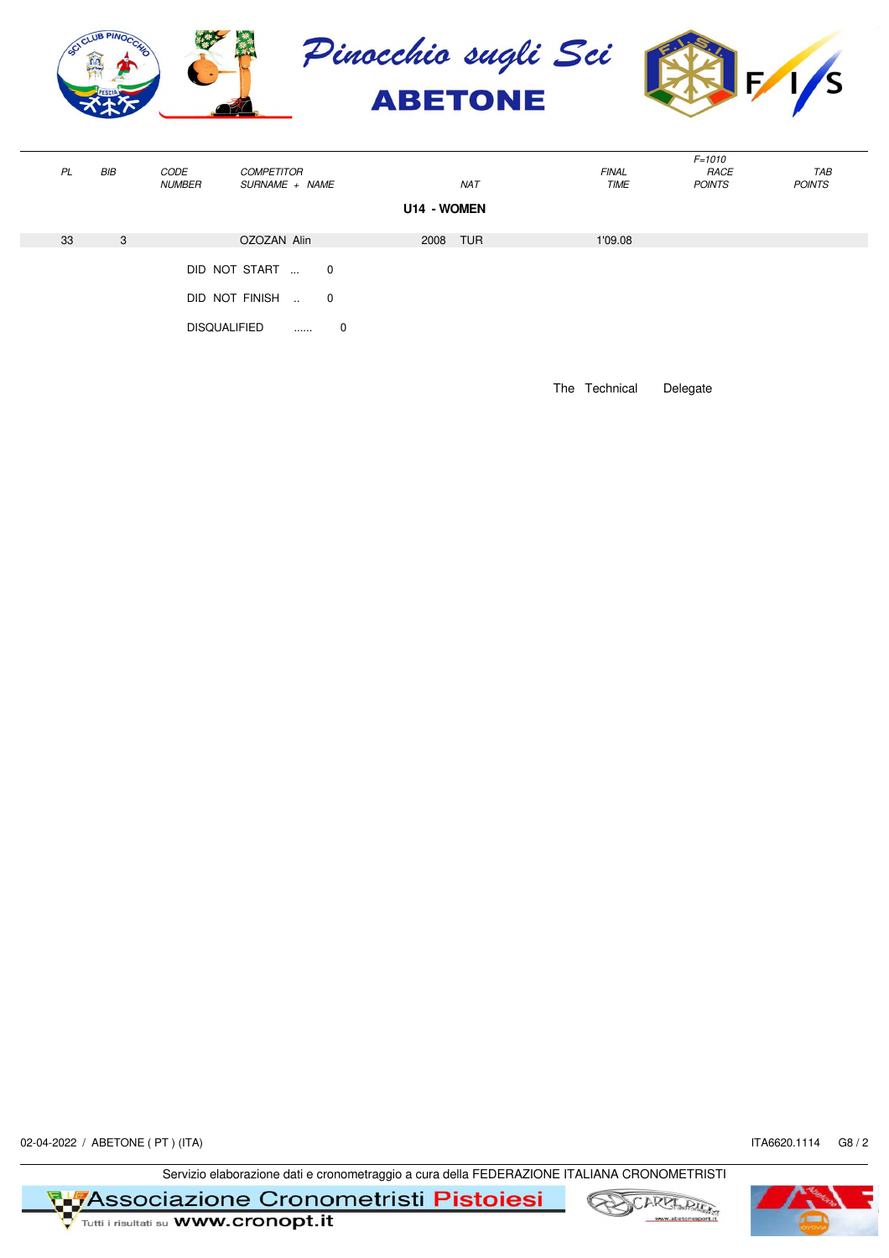

|    |     |                     |                                                                         |                             |             |              | $F = 1010$    |               |  |  |  |
|----|-----|---------------------|-------------------------------------------------------------------------|-----------------------------|-------------|--------------|---------------|---------------|--|--|--|
| PL | BIB | CODE                | <b>COMPETITOR</b>                                                       |                             |             | <b>FINAL</b> | RACE          | TAB           |  |  |  |
|    |     | <b>NUMBER</b>       | SURNAME + NAME                                                          |                             | <b>NAT</b>  | TIME         | <b>POINTS</b> | <b>POINTS</b> |  |  |  |
|    |     |                     |                                                                         |                             | U14 - WOMEN |              |               |               |  |  |  |
| 33 | 3   |                     | OZOZAN Alin                                                             |                             | 2008 TUR    | 1'09.08      |               |               |  |  |  |
|    |     | <b>DISQUALIFIED</b> | DID NOT START<br>$\overline{\phantom{0}}$<br>DID NOT FINISH<br>$\cdots$ | $\mathbf 0$<br>$\mathbf{0}$ |             |              |               |               |  |  |  |

The Technical Delegate

02-04-2022 / ABETONE ( PT ) (ITA) ITA6620.1114 G8 / 2

Servizio elaborazione dati e cronometraggio a cura della FEDERAZIONE ITALIANA CRONOMETRISTI



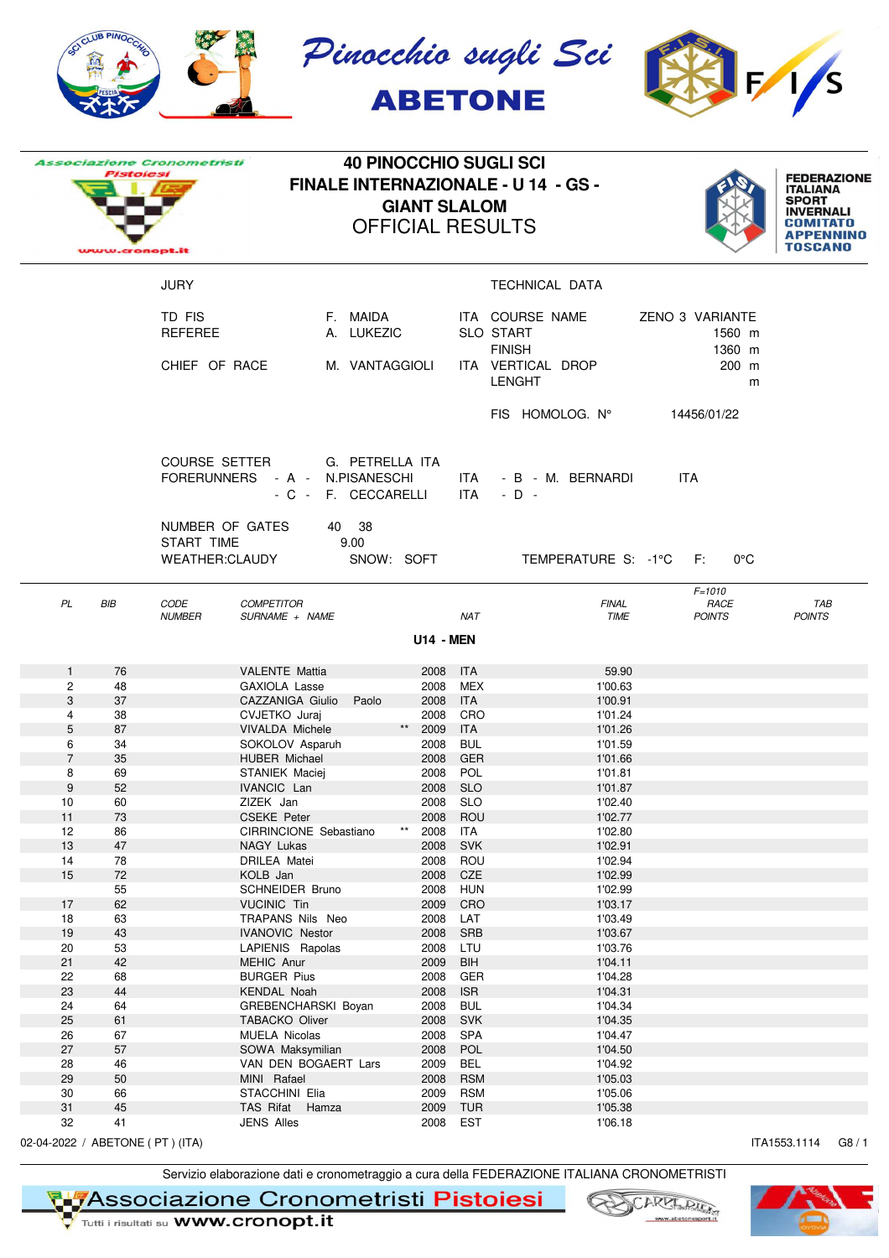

|                                   | Pistolesi<br>www.cronopt.it | <b>Associazione Cronometristi</b>               |                                                       |                             | <b>40 PINOCCHIO SUGLI SCI</b><br><b>FINALE INTERNAZIONALE - U 14 - GS -</b><br><b>GIANT SLALOM</b><br><b>OFFICIAL RESULTS</b> |                          | <b>FEDERAZIONE</b><br><b>ITALIANA</b><br><b>SPORT</b><br><b>INVERNALI</b><br>COMITATO<br><b>TOSCANO</b> |                                     |                      |
|-----------------------------------|-----------------------------|-------------------------------------------------|-------------------------------------------------------|-----------------------------|-------------------------------------------------------------------------------------------------------------------------------|--------------------------|---------------------------------------------------------------------------------------------------------|-------------------------------------|----------------------|
|                                   |                             | <b>JURY</b>                                     |                                                       |                             |                                                                                                                               |                          | TECHNICAL DATA                                                                                          |                                     |                      |
|                                   |                             | TD FIS<br><b>REFEREE</b>                        |                                                       | F. MAIDA<br>A. LUKEZIC      |                                                                                                                               |                          | ITA COURSE NAME<br><b>SLO START</b><br><b>FINISH</b>                                                    | ZENO 3 VARIANTE<br>1560 m<br>1360 m |                      |
|                                   |                             | CHIEF OF RACE                                   |                                                       | M. VANTAGGIOLI              |                                                                                                                               |                          | ITA VERTICAL DROP<br><b>LENGHT</b>                                                                      | 200 m<br>m                          |                      |
|                                   |                             |                                                 |                                                       |                             |                                                                                                                               |                          | FIS HOMOLOG. N°                                                                                         | 14456/01/22                         |                      |
|                                   |                             | COURSE SETTER                                   | FORERUNNERS - A - N.PISANESCHI<br>- C - F. CECCARELLI | G. PETRELLA ITA             |                                                                                                                               | ITA                      | ITA - B - M. BERNARDI<br>$-D -$                                                                         | <b>ITA</b>                          |                      |
|                                   |                             | NUMBER OF GATES<br>START TIME<br>WEATHER:CLAUDY |                                                       | 40 38<br>9.00<br>SNOW: SOFT |                                                                                                                               |                          | TEMPERATURE S: -1°C F:                                                                                  | $0^{\circ}$ C                       |                      |
| PL                                | BIB                         | CODE<br><b>NUMBER</b>                           | <b>COMPETITOR</b><br>SURNAME + NAME                   |                             |                                                                                                                               | <b>NAT</b>               | <b>FINAL</b><br>TIME                                                                                    | $F = 1010$<br>RACE<br><b>POINTS</b> | TAB<br><b>POINTS</b> |
|                                   |                             |                                                 |                                                       |                             | <b>U14 - MEN</b>                                                                                                              |                          |                                                                                                         |                                     |                      |
| $\mathbf{1}$                      | 76                          |                                                 | <b>VALENTE Mattia</b>                                 |                             | 2008                                                                                                                          | <b>ITA</b>               | 59.90                                                                                                   |                                     |                      |
| $\overline{c}$<br>3               | 48<br>37                    |                                                 | <b>GAXIOLA Lasse</b><br>CAZZANIGA Giulio              | Paolo                       | 2008<br>2008 ITA                                                                                                              | MEX                      | 1'00.63<br>1'00.91                                                                                      |                                     |                      |
| 4                                 | 38                          |                                                 | CVJETKO Juraj                                         |                             | 2008 CRO                                                                                                                      |                          | 1'01.24                                                                                                 |                                     |                      |
| 5                                 | 87                          |                                                 | <b>VIVALDA Michele</b>                                |                             | $^{\star\star}$<br>2009 ITA                                                                                                   |                          | 1'01.26                                                                                                 |                                     |                      |
| 6                                 | 34                          |                                                 | SOKOLOV Asparuh                                       |                             | 2008                                                                                                                          | <b>BUL</b>               | 1'01.59                                                                                                 |                                     |                      |
| $\overline{7}$                    | 35                          |                                                 | <b>HUBER Michael</b>                                  |                             | 2008 GER                                                                                                                      |                          | 1'01.66                                                                                                 |                                     |                      |
| 8                                 | 69                          |                                                 | <b>STANIEK Maciei</b>                                 |                             | 2008 POL                                                                                                                      |                          | 1'01.81                                                                                                 |                                     |                      |
| 9                                 | 52                          |                                                 | <b>IVANCIC Lan</b>                                    |                             | 2008                                                                                                                          | <b>SLO</b>               | 1'01.87                                                                                                 |                                     |                      |
| 10                                | 60                          |                                                 | ZIZEK Jan                                             |                             | 2008                                                                                                                          | SLO                      | 1'02.40                                                                                                 |                                     |                      |
| 11                                | 73                          |                                                 | <b>CSEKE Peter</b>                                    |                             | 2008<br>$\star\star$                                                                                                          | ROU                      | 1'02.77                                                                                                 |                                     |                      |
| 12<br>13                          | 86<br>47                    |                                                 | CIRRINCIONE Sebastiano<br>NAGY Lukas                  |                             | 2008<br>2008                                                                                                                  | ITA<br><b>SVK</b>        | 1'02.80<br>1'02.91                                                                                      |                                     |                      |
| 14                                | 78                          |                                                 | <b>DRILEA Matei</b>                                   |                             | 2008                                                                                                                          | ROU                      | 1'02.94                                                                                                 |                                     |                      |
| 15                                | 72                          |                                                 | KOLB Jan                                              |                             | 2008                                                                                                                          | CZE                      | 1'02.99                                                                                                 |                                     |                      |
|                                   | 55                          |                                                 | SCHNEIDER Bruno                                       |                             | 2008                                                                                                                          | <b>HUN</b>               | 1'02.99                                                                                                 |                                     |                      |
| 17                                | 62                          |                                                 | <b>VUCINIC Tin</b>                                    |                             | 2009                                                                                                                          | CRO                      | 1'03.17                                                                                                 |                                     |                      |
| 18                                | 63                          |                                                 | TRAPANS Nils Neo                                      |                             | 2008                                                                                                                          | LAT                      | 1'03.49                                                                                                 |                                     |                      |
| 19                                | 43                          |                                                 | <b>IVANOVIC Nestor</b>                                |                             | 2008                                                                                                                          | <b>SRB</b>               | 1'03.67                                                                                                 |                                     |                      |
| 20                                | 53                          |                                                 | LAPIENIS Rapolas                                      |                             | 2008                                                                                                                          | LTU                      | 1'03.76                                                                                                 |                                     |                      |
| 21                                | 42                          |                                                 | MEHIC Anur                                            |                             | 2009                                                                                                                          | <b>BIH</b>               | 1'04.11                                                                                                 |                                     |                      |
| 22<br>23                          | 68<br>44                    |                                                 | <b>BURGER Pius</b><br>KENDAL Noah                     |                             | 2008<br>2008                                                                                                                  | <b>GER</b><br><b>ISR</b> | 1'04.28<br>1'04.31                                                                                      |                                     |                      |
| 24                                | 64                          |                                                 | GREBENCHARSKI Boyan                                   |                             | 2008                                                                                                                          | <b>BUL</b>               | 1'04.34                                                                                                 |                                     |                      |
| 25                                | 61                          |                                                 | TABACKO Oliver                                        |                             | 2008                                                                                                                          | <b>SVK</b>               | 1'04.35                                                                                                 |                                     |                      |
| 26                                | 67                          |                                                 | MUELA Nicolas                                         |                             | 2008                                                                                                                          | <b>SPA</b>               | 1'04.47                                                                                                 |                                     |                      |
| 27                                | 57                          |                                                 | SOWA Maksymilian                                      |                             | 2008                                                                                                                          | POL                      | 1'04.50                                                                                                 |                                     |                      |
| 28                                | 46                          |                                                 | VAN DEN BOGAERT Lars                                  |                             | 2009                                                                                                                          | BEL                      | 1'04.92                                                                                                 |                                     |                      |
| 29                                | 50                          |                                                 | MINI Rafael                                           |                             | 2008                                                                                                                          | <b>RSM</b>               | 1'05.03                                                                                                 |                                     |                      |
| 30                                | 66                          |                                                 | STACCHINI Elia                                        |                             | 2009                                                                                                                          | <b>RSM</b>               | 1'05.06                                                                                                 |                                     |                      |
| 31                                | 45                          |                                                 | TAS Rifat Hamza                                       |                             | 2009                                                                                                                          | <b>TUR</b>               | 1'05.38                                                                                                 |                                     |                      |
| 32                                | 41                          |                                                 | <b>JENS Alles</b>                                     |                             | 2008                                                                                                                          | EST                      | 1'06.18                                                                                                 |                                     |                      |
| 02-04-2022 / ABETONE ( PT ) (ITA) |                             |                                                 |                                                       |                             |                                                                                                                               |                          |                                                                                                         |                                     | ITA1553.1114<br>G8/1 |

Servizio elaborazione dati e cronometraggio a cura della FEDERAZIONE ITALIANA CRONOMETRISTI